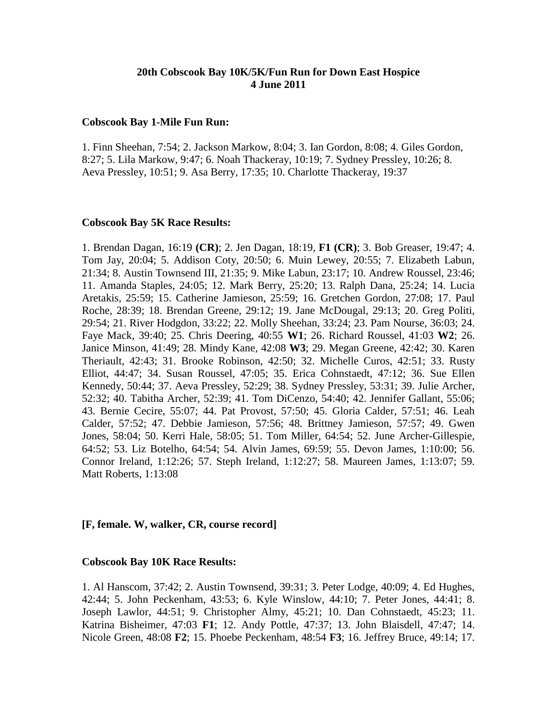# **20th Cobscook Bay 10K/5K/Fun Run for Down East Hospice 4 June 2011**

## **Cobscook Bay 1-Mile Fun Run:**

1. Finn Sheehan, 7:54; 2. Jackson Markow, 8:04; 3. Ian Gordon, 8:08; 4. Giles Gordon, 8:27; 5. Lila Markow, 9:47; 6. Noah Thackeray, 10:19; 7. Sydney Pressley, 10:26; 8. Aeva Pressley, 10:51; 9. Asa Berry, 17:35; 10. Charlotte Thackeray, 19:37

### **Cobscook Bay 5K Race Results:**

1. Brendan Dagan, 16:19 **(CR)**; 2. Jen Dagan, 18:19, **F1 (CR)**; 3. Bob Greaser, 19:47; 4. Tom Jay, 20:04; 5. Addison Coty, 20:50; 6. Muin Lewey, 20:55; 7. Elizabeth Labun, 21:34; 8. Austin Townsend III, 21:35; 9. Mike Labun, 23:17; 10. Andrew Roussel, 23:46; 11. Amanda Staples, 24:05; 12. Mark Berry, 25:20; 13. Ralph Dana, 25:24; 14. Lucia Aretakis, 25:59; 15. Catherine Jamieson, 25:59; 16. Gretchen Gordon, 27:08; 17. Paul Roche, 28:39; 18. Brendan Greene, 29:12; 19. Jane McDougal, 29:13; 20. Greg Politi, 29:54; 21. River Hodgdon, 33:22; 22. Molly Sheehan, 33:24; 23. Pam Nourse, 36:03; 24. Faye Mack, 39:40; 25. Chris Deering, 40:55 **W1**; 26. Richard Roussel, 41:03 **W2**; 26. Janice Minson, 41:49; 28. Mindy Kane, 42:08 **W3**; 29. Megan Greene, 42:42; 30. Karen Theriault, 42:43; 31. Brooke Robinson, 42:50; 32. Michelle Curos, 42:51; 33. Rusty Elliot, 44:47; 34. Susan Roussel, 47:05; 35. Erica Cohnstaedt, 47:12; 36. Sue Ellen Kennedy, 50:44; 37. Aeva Pressley, 52:29; 38. Sydney Pressley, 53:31; 39. Julie Archer, 52:32; 40. Tabitha Archer, 52:39; 41. Tom DiCenzo, 54:40; 42. Jennifer Gallant, 55:06; 43. Bernie Cecire, 55:07; 44. Pat Provost, 57:50; 45. Gloria Calder, 57:51; 46. Leah Calder, 57:52; 47. Debbie Jamieson, 57:56; 48. Brittney Jamieson, 57:57; 49. Gwen Jones, 58:04; 50. Kerri Hale, 58:05; 51. Tom Miller, 64:54; 52. June Archer-Gillespie, 64:52; 53. Liz Botelho, 64:54; 54. Alvin James, 69:59; 55. Devon James, 1:10:00; 56. Connor Ireland, 1:12:26; 57. Steph Ireland, 1:12:27; 58. Maureen James, 1:13:07; 59. Matt Roberts, 1:13:08

## **[F, female. W, walker, CR, course record]**

#### **Cobscook Bay 10K Race Results:**

1. Al Hanscom, 37:42; 2. Austin Townsend, 39:31; 3. Peter Lodge, 40:09; 4. Ed Hughes, 42:44; 5. John Peckenham, 43:53; 6. Kyle Winslow, 44:10; 7. Peter Jones, 44:41; 8. Joseph Lawlor, 44:51; 9. Christopher Almy, 45:21; 10. Dan Cohnstaedt, 45:23; 11. Katrina Bisheimer, 47:03 **F1**; 12. Andy Pottle, 47:37; 13. John Blaisdell, 47:47; 14. Nicole Green, 48:08 **F2**; 15. Phoebe Peckenham, 48:54 **F3**; 16. Jeffrey Bruce, 49:14; 17.